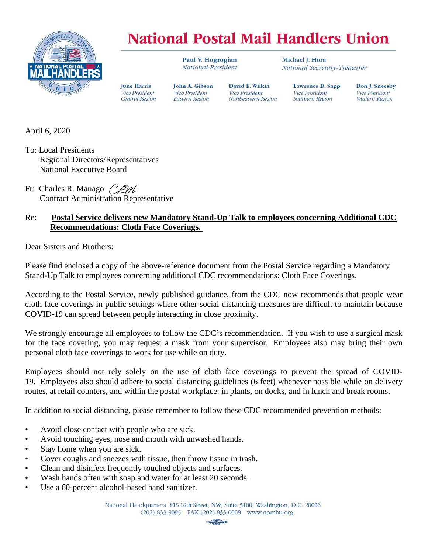

# **National Postal Mail Handlers Union**

David E. Wilkin

Northeastern Region

**Vice President** 

Paul V. Hogrogian National President

John A. Gibson

**Vice President** 

**Eastern Region** 

Michael J. Hora National Secretary-Treasurer

> Lawrence B. Sapp **Vice President** Southern Region

Don J. Sneesby **Vice President Western Region** 

April 6, 2020

To: Local Presidents Regional Directors/Representatives National Executive Board

Fr: Charles R. Manago (2001) Contract Administration Representative

**June Harris** 

**Vice President** 

Central Region

#### Re: **Postal Service delivers new Mandatory Stand-Up Talk to employees concerning Additional CDC Recommendations: Cloth Face Coverings.**

Dear Sisters and Brothers:

Please find enclosed a copy of the above-reference document from the Postal Service regarding a Mandatory Stand-Up Talk to employees concerning additional CDC recommendations: Cloth Face Coverings.

According to the Postal Service, newly published guidance, from the CDC now recommends that people wear cloth face coverings in public settings where other social distancing measures are difficult to maintain because COVID-19 can spread between people interacting in close proximity.

We strongly encourage all employees to follow the CDC's recommendation. If you wish to use a surgical mask for the face covering, you may request a mask from your supervisor. Employees also may bring their own personal cloth face coverings to work for use while on duty.

Employees should not rely solely on the use of cloth face coverings to prevent the spread of COVID-19. Employees also should adhere to social distancing guidelines (6 feet) whenever possible while on delivery routes, at retail counters, and within the postal workplace: in plants, on docks, and in lunch and break rooms.

In addition to social distancing, please remember to follow these CDC recommended prevention methods:

- Avoid close contact with people who are sick.
- Avoid touching eyes, nose and mouth with unwashed hands.
- Stay home when you are sick.
- Cover coughs and sneezes with tissue, then throw tissue in trash.
- Clean and disinfect frequently touched objects and surfaces.
- Wash hands often with soap and water for at least 20 seconds.
- Use a 60-percent alcohol-based hand sanitizer.

National Headquarters: 815 16th Street, NW, Suite 5100, Washington, D.C. 20006 (202) 833-9095 FAX (202) 833-0008 www.npmhu.org

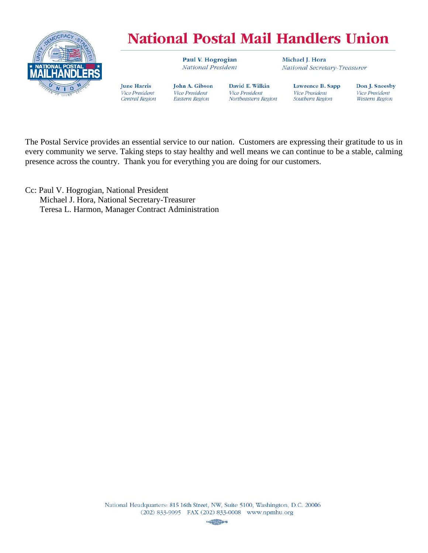

# **National Postal Mail Handlers Union**

David E. Wilkin

Northeastern Region

Vice President

Paul V. Hogrogian National President

John A. Gibson

**Vice President** 

**Eastern Region** 

Michael J. Hora National Secretary-Treasurer

Lawrence B. Sapp **Vice President** Southern Region

Don J. Sneesby **Vice President** Western Region

The Postal Service provides an essential service to our nation. Customers are expressing their gratitude to us in every community we serve. Taking steps to stay healthy and well means we can continue to be a stable, calming presence across the country. Thank you for everything you are doing for our customers.

Cc: Paul V. Hogrogian, National President Michael J. Hora, National Secretary-Treasurer Teresa L. Harmon, Manager Contract Administration

**June Harris** 

Vice President

**Central Region** 

National Headquarters: 815 16th Street, NW, Suite 5100, Washington, D.C. 20006 (202) 833-9095 FAX (202) 833-0008 www.npmhu.org

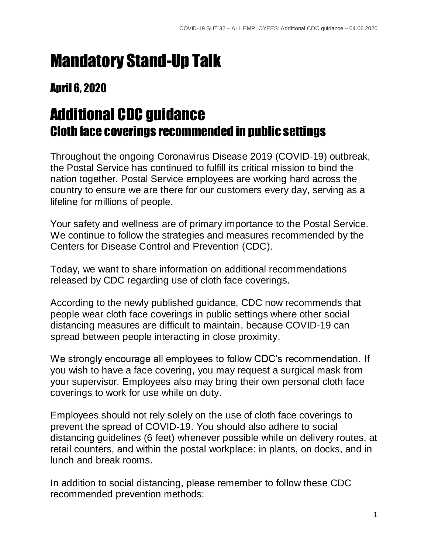# Mandatory Stand-Up Talk

### April 6, 2020

## Additional CDC guidance Cloth face coverings recommended in public settings

Throughout the ongoing Coronavirus Disease 2019 (COVID-19) outbreak, the Postal Service has continued to fulfill its critical mission to bind the nation together. Postal Service employees are working hard across the country to ensure we are there for our customers every day, serving as a lifeline for millions of people.

Your safety and wellness are of primary importance to the Postal Service. We continue to follow the strategies and measures recommended by the Centers for Disease Control and Prevention (CDC).

Today, we want to share information on additional recommendations released by CDC regarding use of cloth face coverings.

According to the newly published guidance, CDC now recommends that people wear cloth face coverings in public settings where other social distancing measures are difficult to maintain, because COVID-19 can spread between people interacting in close proximity.

We strongly encourage all employees to follow CDC's recommendation. If you wish to have a face covering, you may request a surgical mask from your supervisor. Employees also may bring their own personal cloth face coverings to work for use while on duty.

Employees should not rely solely on the use of cloth face coverings to prevent the spread of COVID-19. You should also adhere to social distancing guidelines (6 feet) whenever possible while on delivery routes, at retail counters, and within the postal workplace: in plants, on docks, and in lunch and break rooms.

In addition to social distancing, please remember to follow these CDC recommended prevention methods: